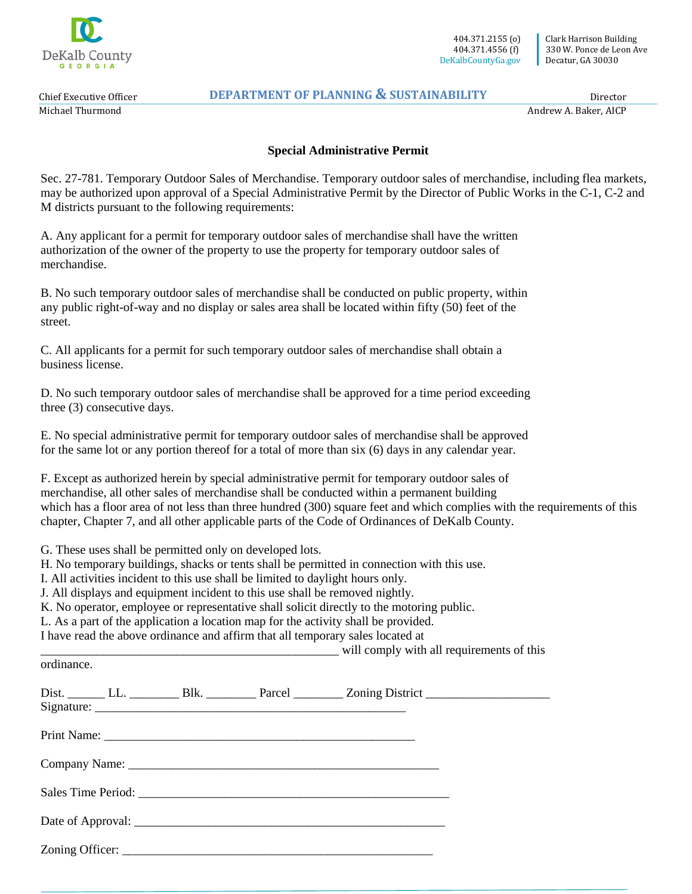

 404.371.2155 (o) 404.371.4556 (f) DeKalbCountyGa.gov

Chief Executive Officer Michael Thurmond

ordinance.

## **DEPARTMENT OF PLANNING & SUSTAINABILITY**

Director

Andrew A. Baker, AICP

## **Special Administrative Permit**

Sec. 27-781. Temporary Outdoor Sales of Merchandise. Temporary outdoor sales of merchandise, including flea markets, may be authorized upon approval of a Special Administrative Permit by the Director of Public Works in the C-1, C-2 and M districts pursuant to the following requirements:

A. Any applicant for a permit for temporary outdoor sales of merchandise shall have the written authorization of the owner of the property to use the property for temporary outdoor sales of merchandise.

B. No such temporary outdoor sales of merchandise shall be conducted on public property, within any public right-of-way and no display or sales area shall be located within fifty (50) feet of the street.

C. All applicants for a permit for such temporary outdoor sales of merchandise shall obtain a business license.

D. No such temporary outdoor sales of merchandise shall be approved for a time period exceeding three (3) consecutive days.

E. No special administrative permit for temporary outdoor sales of merchandise shall be approved for the same lot or any portion thereof for a total of more than six (6) days in any calendar year.

F. Except as authorized herein by special administrative permit for temporary outdoor sales of merchandise, all other sales of merchandise shall be conducted within a permanent building which has a floor area of not less than three hundred (300) square feet and which complies with the requirements of this chapter, Chapter 7, and all other applicable parts of the Code of Ordinances of DeKalb County.

G. These uses shall be permitted only on developed lots.

H. No temporary buildings, shacks or tents shall be permitted in connection with this use.

I. All activities incident to this use shall be limited to daylight hours only.

J. All displays and equipment incident to this use shall be removed nightly.

K. No operator, employee or representative shall solicit directly to the motoring public.

L. As a part of the application a location map for the activity shall be provided.

I have read the above ordinance and affirm that all temporary sales located at

|  | will comply with all requirements of this |  |
|--|-------------------------------------------|--|
|  |                                           |  |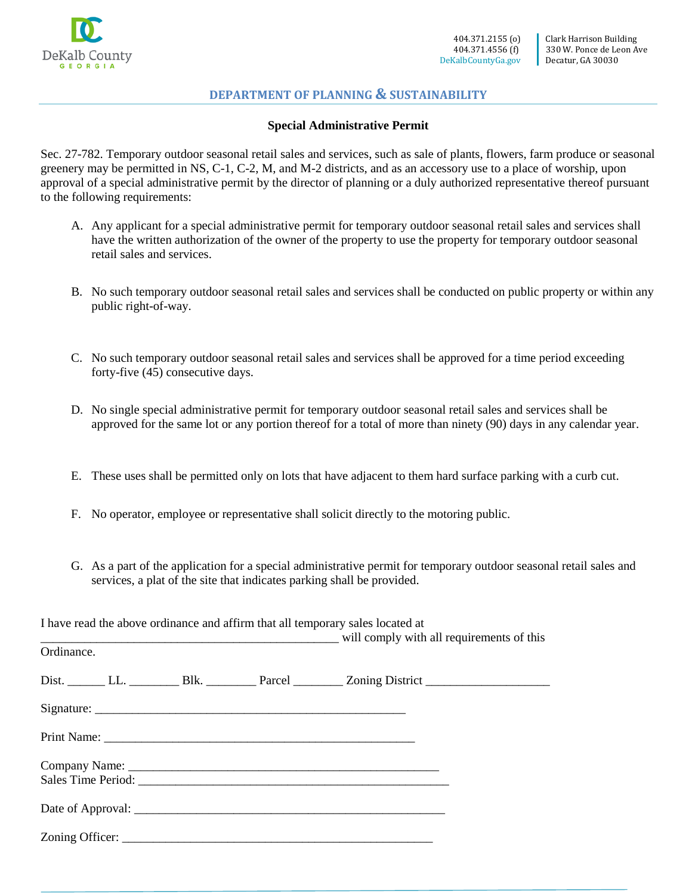

## **DEPARTMENT OF PLANNING & SUSTAINABILITY**

## **Special Administrative Permit**

Sec. 27-782. Temporary outdoor seasonal retail sales and services, such as sale of plants, flowers, farm produce or seasonal greenery may be permitted in NS, C-1, C-2, M, and M-2 districts, and as an accessory use to a place of worship, upon approval of a special administrative permit by the director of planning or a duly authorized representative thereof pursuant to the following requirements:

- A. Any applicant for a special administrative permit for temporary outdoor seasonal retail sales and services shall have the written authorization of the owner of the property to use the property for temporary outdoor seasonal retail sales and services.
- B. No such temporary outdoor seasonal retail sales and services shall be conducted on public property or within any public right-of-way.
- C. No such temporary outdoor seasonal retail sales and services shall be approved for a time period exceeding forty-five (45) consecutive days.
- D. No single special administrative permit for temporary outdoor seasonal retail sales and services shall be approved for the same lot or any portion thereof for a total of more than ninety (90) days in any calendar year.
- E. These uses shall be permitted only on lots that have adjacent to them hard surface parking with a curb cut.
- F. No operator, employee or representative shall solicit directly to the motoring public.
- G. As a part of the application for a special administrative permit for temporary outdoor seasonal retail sales and services, a plat of the site that indicates parking shall be provided.

I have read the above ordinance and affirm that all temporary sales located at \_\_\_\_\_\_\_\_\_\_\_\_\_\_\_\_\_\_\_\_\_\_\_\_\_\_\_\_\_\_\_\_\_\_\_\_\_\_\_\_\_\_\_\_\_\_\_\_ will comply with all requirements of this Ordinance. Dist. \_\_\_\_\_\_\_ LL. \_\_\_\_\_\_\_\_ Blk. \_\_\_\_\_\_\_\_ Parcel \_\_\_\_\_\_\_\_ Zoning District \_\_\_\_\_\_\_\_ Signature: Print Name: \_\_\_\_\_\_\_\_\_\_\_\_\_\_\_\_\_\_\_\_\_\_\_\_\_\_\_\_\_\_\_\_\_\_\_\_\_\_\_\_\_\_\_\_\_\_\_\_\_\_ Company Name: Sales Time Period: Date of Approval: Zoning Officer: \_\_\_\_\_\_\_\_\_\_\_\_\_\_\_\_\_\_\_\_\_\_\_\_\_\_\_\_\_\_\_\_\_\_\_\_\_\_\_\_\_\_\_\_\_\_\_\_\_\_